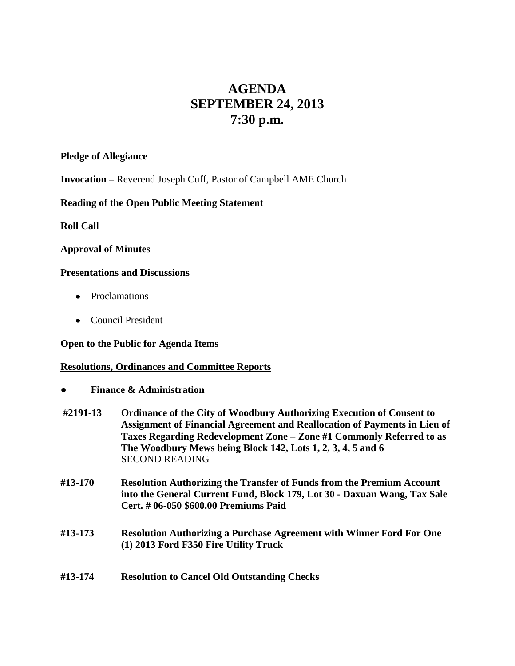# **AGENDA SEPTEMBER 24, 2013 7:30 p.m.**

#### **Pledge of Allegiance**

**Invocation –** Reverend Joseph Cuff, Pastor of Campbell AME Church

## **Reading of the Open Public Meeting Statement**

**Roll Call**

## **Approval of Minutes**

## **Presentations and Discussions**

- Proclamations
- Council President

#### **Open to the Public for Agenda Items**

#### **Resolutions, Ordinances and Committee Reports**

- **● Finance & Administration**
- **#2191-13 Ordinance of the City of Woodbury Authorizing Execution of Consent to Assignment of Financial Agreement and Reallocation of Payments in Lieu of Taxes Regarding Redevelopment Zone – Zone #1 Commonly Referred to as The Woodbury Mews being Block 142, Lots 1, 2, 3, 4, 5 and 6**  SECOND READING
- **#13-170 Resolution Authorizing the Transfer of Funds from the Premium Account into the General Current Fund, Block 179, Lot 30 - Daxuan Wang, Tax Sale Cert. # 06-050 \$600.00 Premiums Paid**
- **#13-173 Resolution Authorizing a Purchase Agreement with Winner Ford For One (1) 2013 Ford F350 Fire Utility Truck**
- **#13-174 Resolution to Cancel Old Outstanding Checks**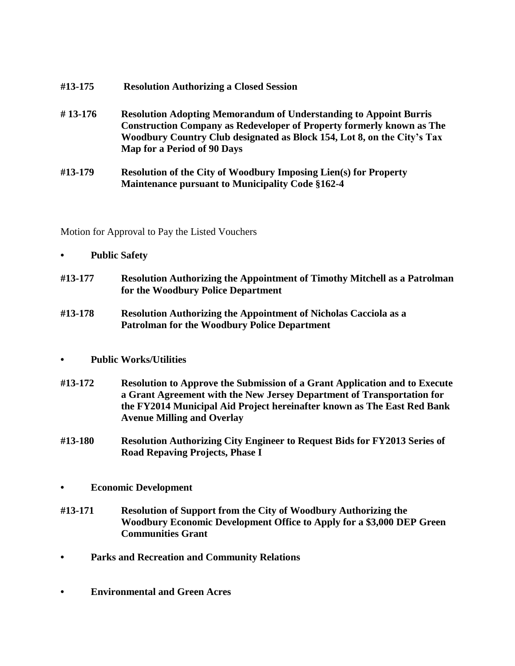| #13-175   | <b>Resolution Authorizing a Closed Session</b>                                                                                                                                                                                                                     |
|-----------|--------------------------------------------------------------------------------------------------------------------------------------------------------------------------------------------------------------------------------------------------------------------|
| $#13-176$ | <b>Resolution Adopting Memorandum of Understanding to Appoint Burris</b><br><b>Construction Company as Redeveloper of Property formerly known as The</b><br>Woodbury Country Club designated as Block 154, Lot 8, on the City's Tax<br>Map for a Period of 90 Days |
| #13-179   | <b>Resolution of the City of Woodbury Imposing Lien(s) for Property</b><br><b>Maintenance pursuant to Municipality Code §162-4</b>                                                                                                                                 |

Motion for Approval to Pay the Listed Vouchers

| <b>Public Safety</b> |
|----------------------|
|----------------------|

- **#13-177 Resolution Authorizing the Appointment of Timothy Mitchell as a Patrolman for the Woodbury Police Department**
- **#13-178 Resolution Authorizing the Appointment of Nicholas Cacciola as a Patrolman for the Woodbury Police Department**

# **• Public Works/Utilities**

- **#13-172 Resolution to Approve the Submission of a Grant Application and to Execute a Grant Agreement with the New Jersey Department of Transportation for the FY2014 Municipal Aid Project hereinafter known as The East Red Bank Avenue Milling and Overlay**
- **#13-180 Resolution Authorizing City Engineer to Request Bids for FY2013 Series of Road Repaving Projects, Phase I**
- **• Economic Development**
- **#13-171 Resolution of Support from the City of Woodbury Authorizing the Woodbury Economic Development Office to Apply for a \$3,000 DEP Green Communities Grant**
- **• Parks and Recreation and Community Relations**
- **• Environmental and Green Acres**